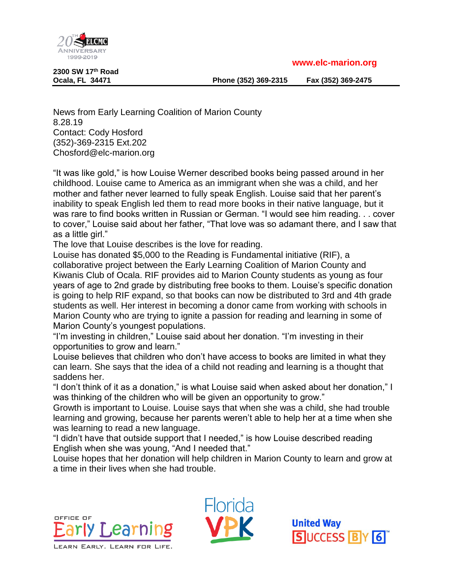**www.elc-marion.org**



**2300 SW 17th Road**

**Ocala, FL 34471 Phone (352) 369-2315 Fax (352) 369-2475**

News from Early Learning Coalition of Marion County 8.28.19 Contact: Cody Hosford (352)-369-2315 Ext.202 Chosford@elc-marion.org

"It was like gold," is how Louise Werner described books being passed around in her childhood. Louise came to America as an immigrant when she was a child, and her mother and father never learned to fully speak English. Louise said that her parent's inability to speak English led them to read more books in their native language, but it was rare to find books written in Russian or German. "I would see him reading. . . cover to cover," Louise said about her father, "That love was so adamant there, and I saw that as a little girl."

The love that Louise describes is the love for reading.

Louise has donated \$5,000 to the Reading is Fundamental initiative (RIF), a collaborative project between the Early Learning Coalition of Marion County and Kiwanis Club of Ocala. RIF provides aid to Marion County students as young as four years of age to 2nd grade by distributing free books to them. Louise's specific donation is going to help RIF expand, so that books can now be distributed to 3rd and 4th grade students as well. Her interest in becoming a donor came from working with schools in Marion County who are trying to ignite a passion for reading and learning in some of Marion County's youngest populations.

"I'm investing in children," Louise said about her donation. "I'm investing in their opportunities to grow and learn."

Louise believes that children who don't have access to books are limited in what they can learn. She says that the idea of a child not reading and learning is a thought that saddens her.

"I don't think of it as a donation," is what Louise said when asked about her donation," I was thinking of the children who will be given an opportunity to grow."

Growth is important to Louise. Louise says that when she was a child, she had trouble learning and growing, because her parents weren't able to help her at a time when she was learning to read a new language.

"I didn't have that outside support that I needed," is how Louise described reading English when she was young, "And I needed that."

Louise hopes that her donation will help children in Marion County to learn and grow at a time in their lives when she had trouble.





**United Way SUCCESS BY 6**